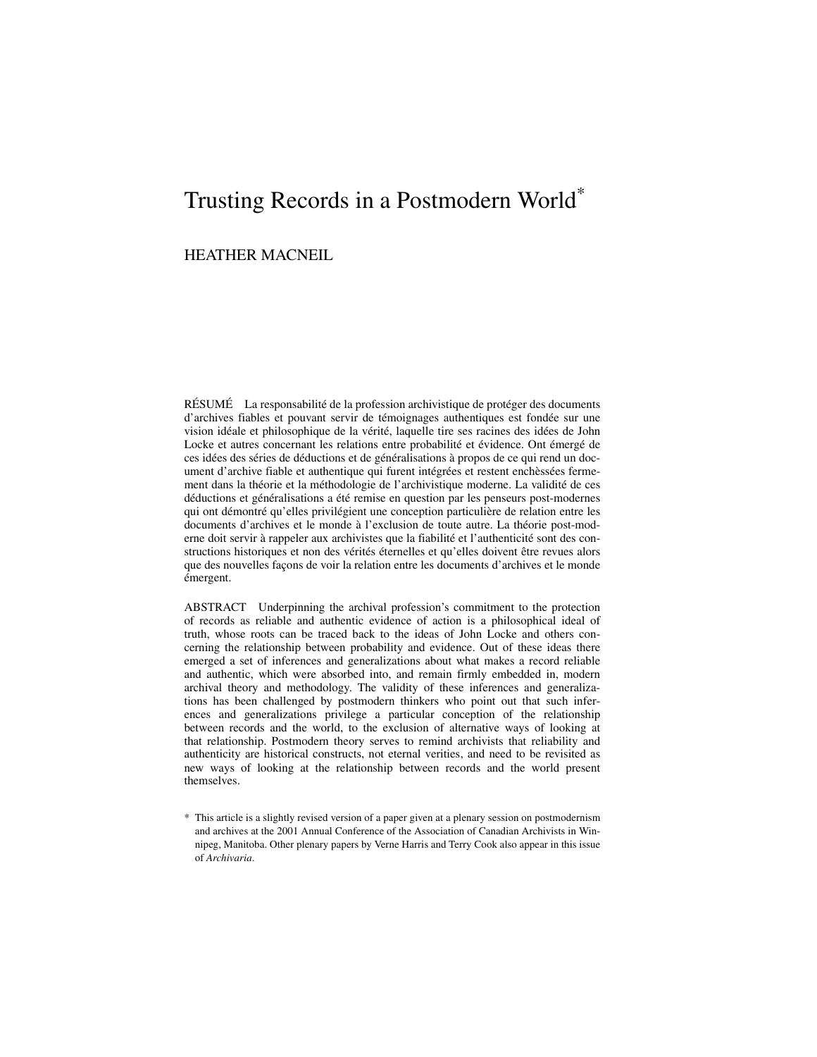# Trusting Records in a Postmodern World\*

# HEATHER MACNEIL

RÉSUMÉ La responsabilité de la profession archivistique de protéger des documents d'archives fiables et pouvant servir de témoignages authentiques est fondée sur une vision idéale et philosophique de la vérité, laquelle tire ses racines des idées de John Locke et autres concernant les relations entre probabilité et évidence. Ont émergé de ces idées des séries de déductions et de généralisations à propos de ce qui rend un document d'archive fiable et authentique qui furent intégrées et restent enchèssées fermement dans la théorie et la méthodologie de l'archivistique moderne. La validité de ces déductions et généralisations a été remise en question par les penseurs post-modernes qui ont démontré qu'elles privilégient une conception particulière de relation entre les documents d'archives et le monde à l'exclusion de toute autre. La théorie post-moderne doit servir à rappeler aux archivistes que la fiabilité et l'authenticité sont des constructions historiques et non des vérités éternelles et qu'elles doivent être revues alors que des nouvelles façons de voir la relation entre les documents d'archives et le monde émergent.

ABSTRACT Underpinning the archival profession's commitment to the protection of records as reliable and authentic evidence of action is a philosophical ideal of truth, whose roots can be traced back to the ideas of John Locke and others concerning the relationship between probability and evidence. Out of these ideas there emerged a set of inferences and generalizations about what makes a record reliable and authentic, which were absorbed into, and remain firmly embedded in, modern archival theory and methodology. The validity of these inferences and generalizations has been challenged by postmodern thinkers who point out that such inferences and generalizations privilege a particular conception of the relationship between records and the world, to the exclusion of alternative ways of looking at that relationship. Postmodern theory serves to remind archivists that reliability and authenticity are historical constructs, not eternal verities, and need to be revisited as new ways of looking at the relationship between records and the world present themselves.

\* This article is a slightly revised version of a paper given at a plenary session on postmodernism and archives at the 2001 Annual Conference of the Association of Canadian Archivists in Winnipeg, Manitoba. Other plenary papers by Verne Harris and Terry Cook also appear in this issue of *Archivaria*.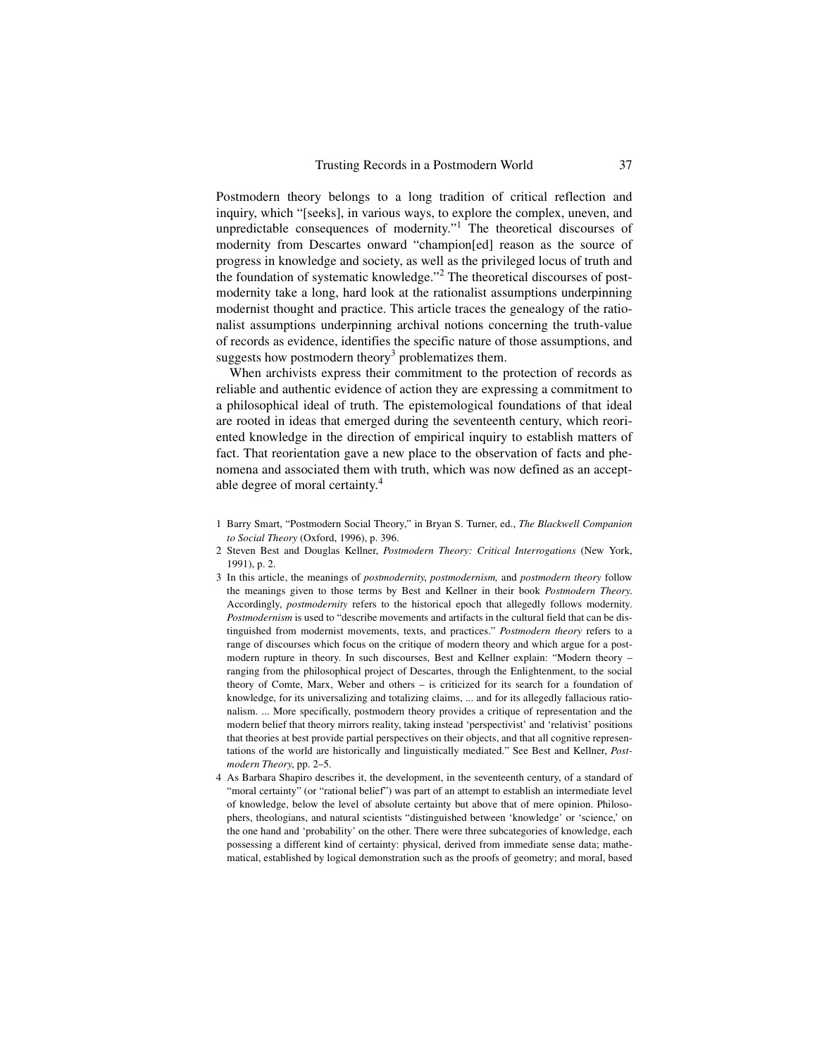Postmodern theory belongs to a long tradition of critical reflection and inquiry, which "[seeks], in various ways, to explore the complex, uneven, and unpredictable consequences of modernity."<sup>1</sup> The theoretical discourses of modernity from Descartes onward "champion[ed] reason as the source of progress in knowledge and society, as well as the privileged locus of truth and the foundation of systematic knowledge."<sup>2</sup> The theoretical discourses of postmodernity take a long, hard look at the rationalist assumptions underpinning modernist thought and practice. This article traces the genealogy of the rationalist assumptions underpinning archival notions concerning the truth-value of records as evidence, identifies the specific nature of those assumptions, and suggests how postmodern theory<sup>3</sup> problematizes them.

When archivists express their commitment to the protection of records as reliable and authentic evidence of action they are expressing a commitment to a philosophical ideal of truth. The epistemological foundations of that ideal are rooted in ideas that emerged during the seventeenth century, which reoriented knowledge in the direction of empirical inquiry to establish matters of fact. That reorientation gave a new place to the observation of facts and phenomena and associated them with truth, which was now defined as an acceptable degree of moral certainty.<sup>4</sup>

- 1 Barry Smart, "Postmodern Social Theory," in Bryan S. Turner, ed., *The Blackwell Companion to Social Theory* (Oxford, 1996), p. 396.
- 2 Steven Best and Douglas Kellner, *Postmodern Theory: Critical Interrogations* (New York, 1991), p. 2.
- 3 In this article, the meanings of *postmodernity*, *postmodernism,* and *postmodern theory* follow the meanings given to those terms by Best and Kellner in their book *Postmodern Theory*. Accordingly, *postmodernity* refers to the historical epoch that allegedly follows modernity. *Postmodernism* is used to "describe movements and artifacts in the cultural field that can be distinguished from modernist movements, texts, and practices." *Postmodern theory* refers to a range of discourses which focus on the critique of modern theory and which argue for a postmodern rupture in theory. In such discourses, Best and Kellner explain: "Modern theory – ranging from the philosophical project of Descartes, through the Enlightenment, to the social theory of Comte, Marx, Weber and others – is criticized for its search for a foundation of knowledge, for its universalizing and totalizing claims, ... and for its allegedly fallacious rationalism. ... More specifically, postmodern theory provides a critique of representation and the modern belief that theory mirrors reality, taking instead 'perspectivist' and 'relativist' positions that theories at best provide partial perspectives on their objects, and that all cognitive representations of the world are historically and linguistically mediated." See Best and Kellner, *Postmodern Theory*, pp. 2–5.
- 4 As Barbara Shapiro describes it, the development, in the seventeenth century, of a standard of "moral certainty" (or "rational belief") was part of an attempt to establish an intermediate level of knowledge, below the level of absolute certainty but above that of mere opinion. Philosophers, theologians, and natural scientists "distinguished between 'knowledge' or 'science,' on the one hand and 'probability' on the other. There were three subcategories of knowledge, each possessing a different kind of certainty: physical, derived from immediate sense data; mathematical, established by logical demonstration such as the proofs of geometry; and moral, based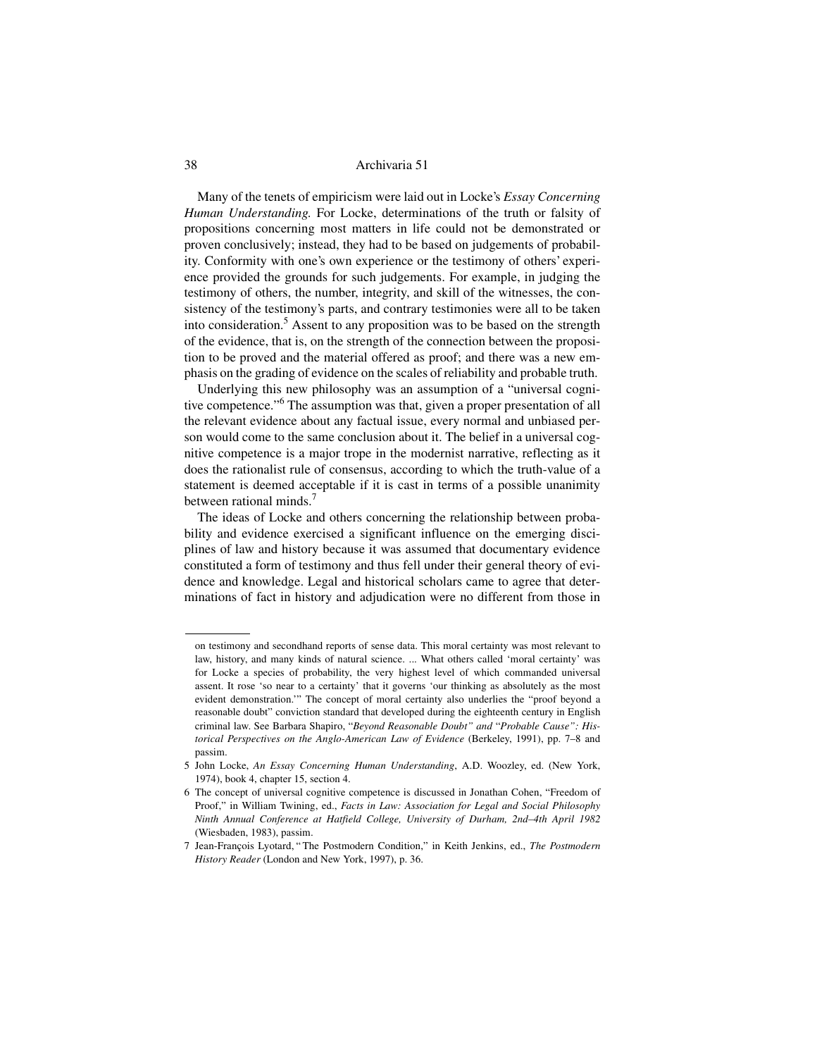Many of the tenets of empiricism were laid out in Locke's *Essay Concerning Human Understanding.* For Locke, determinations of the truth or falsity of propositions concerning most matters in life could not be demonstrated or proven conclusively; instead, they had to be based on judgements of probability. Conformity with one's own experience or the testimony of others' experience provided the grounds for such judgements. For example, in judging the testimony of others, the number, integrity, and skill of the witnesses, the consistency of the testimony's parts, and contrary testimonies were all to be taken into consideration.<sup>5</sup> Assent to any proposition was to be based on the strength of the evidence, that is, on the strength of the connection between the proposition to be proved and the material offered as proof; and there was a new emphasis on the grading of evidence on the scales of reliability and probable truth.

Underlying this new philosophy was an assumption of a "universal cognitive competence."<sup>6</sup> The assumption was that, given a proper presentation of all the relevant evidence about any factual issue, every normal and unbiased person would come to the same conclusion about it. The belief in a universal cognitive competence is a major trope in the modernist narrative, reflecting as it does the rationalist rule of consensus, according to which the truth-value of a statement is deemed acceptable if it is cast in terms of a possible unanimity between rational minds. $<sup>7</sup>$ </sup>

The ideas of Locke and others concerning the relationship between probability and evidence exercised a significant influence on the emerging disciplines of law and history because it was assumed that documentary evidence constituted a form of testimony and thus fell under their general theory of evidence and knowledge. Legal and historical scholars came to agree that determinations of fact in history and adjudication were no different from those in

on testimony and secondhand reports of sense data. This moral certainty was most relevant to law, history, and many kinds of natural science. ... What others called 'moral certainty' was for Locke a species of probability, the very highest level of which commanded universal assent. It rose 'so near to a certainty' that it governs 'our thinking as absolutely as the most evident demonstration.'" The concept of moral certainty also underlies the "proof beyond a reasonable doubt" conviction standard that developed during the eighteenth century in English criminal law. See Barbara Shapiro, "*Beyond Reasonable Doubt" and* "*Probable Cause": Historical Perspectives on the Anglo-American Law of Evidence* (Berkeley, 1991), pp. 7–8 and passim.

<sup>5</sup> John Locke, *An Essay Concerning Human Understanding*, A.D. Woozley, ed. (New York, 1974), book 4, chapter 15, section 4.

<sup>6</sup> The concept of universal cognitive competence is discussed in Jonathan Cohen, "Freedom of Proof," in William Twining, ed., *Facts in Law: Association for Legal and Social Philosophy Ninth Annual Conference at Hatfield College, University of Durham, 2nd–4th April 1982* (Wiesbaden, 1983), passim.

<sup>7</sup> Jean-François Lyotard, " The Postmodern Condition," in Keith Jenkins, ed., *The Postmodern History Reader* (London and New York, 1997), p. 36.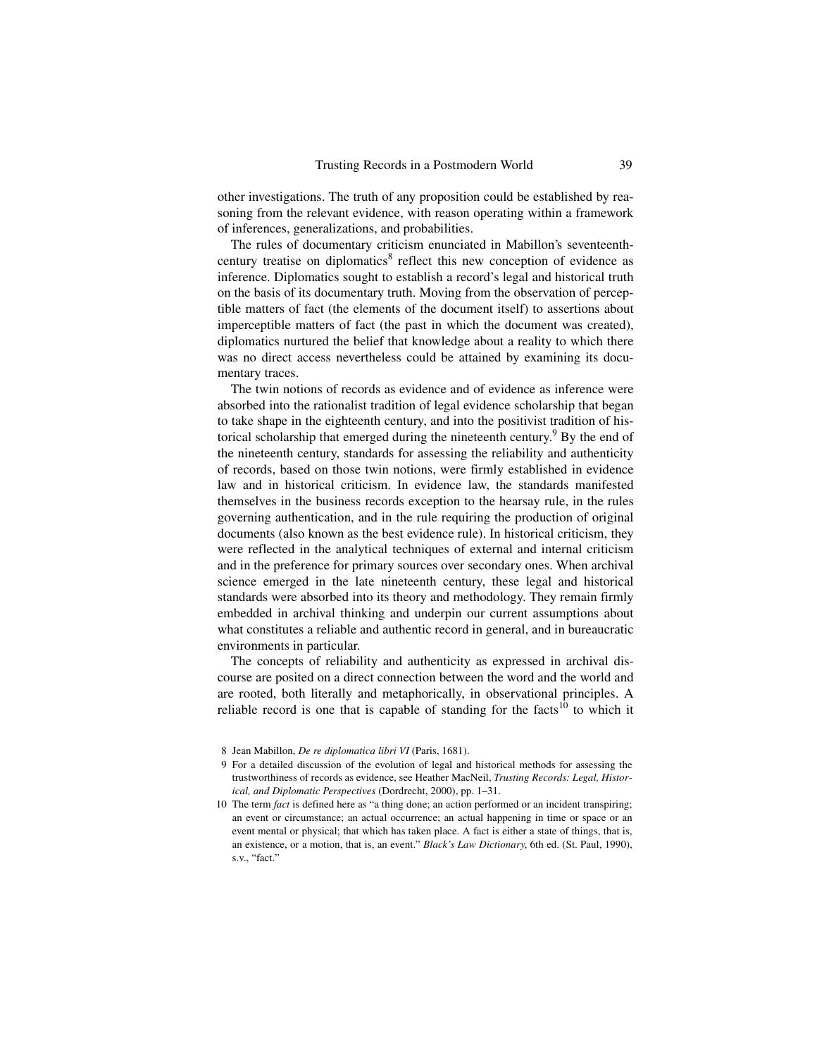other investigations. The truth of any proposition could be established by reasoning from the relevant evidence, with reason operating within a framework of inferences, generalizations, and probabilities.

The rules of documentary criticism enunciated in Mabillon's seventeenthcentury treatise on diplomatics<sup>8</sup> reflect this new conception of evidence as inference. Diplomatics sought to establish a record's legal and historical truth on the basis of its documentary truth. Moving from the observation of perceptible matters of fact (the elements of the document itself) to assertions about imperceptible matters of fact (the past in which the document was created), diplomatics nurtured the belief that knowledge about a reality to which there was no direct access nevertheless could be attained by examining its documentary traces.

The twin notions of records as evidence and of evidence as inference were absorbed into the rationalist tradition of legal evidence scholarship that began to take shape in the eighteenth century, and into the positivist tradition of historical scholarship that emerged during the nineteenth century.<sup>9</sup> By the end of the nineteenth century, standards for assessing the reliability and authenticity of records, based on those twin notions, were firmly established in evidence law and in historical criticism. In evidence law, the standards manifested themselves in the business records exception to the hearsay rule, in the rules governing authentication, and in the rule requiring the production of original documents (also known as the best evidence rule). In historical criticism, they were reflected in the analytical techniques of external and internal criticism and in the preference for primary sources over secondary ones. When archival science emerged in the late nineteenth century, these legal and historical standards were absorbed into its theory and methodology. They remain firmly embedded in archival thinking and underpin our current assumptions about what constitutes a reliable and authentic record in general, and in bureaucratic environments in particular.

The concepts of reliability and authenticity as expressed in archival discourse are posited on a direct connection between the word and the world and are rooted, both literally and metaphorically, in observational principles. A reliable record is one that is capable of standing for the facts<sup>10</sup> to which it

<sup>8</sup> Jean Mabillon, *De re diplomatica libri VI* (Paris, 1681).

<sup>9</sup> For a detailed discussion of the evolution of legal and historical methods for assessing the trustworthiness of records as evidence, see Heather MacNeil, *Trusting Records: Legal, Historical, and Diplomatic Perspectives* (Dordrecht, 2000), pp. 1–31.

<sup>10</sup> The term *fact* is defined here as "a thing done; an action performed or an incident transpiring; an event or circumstance; an actual occurrence; an actual happening in time or space or an event mental or physical; that which has taken place. A fact is either a state of things, that is, an existence, or a motion, that is, an event." *Black's Law Dictionary*, 6th ed. (St. Paul, 1990), s.v., "fact."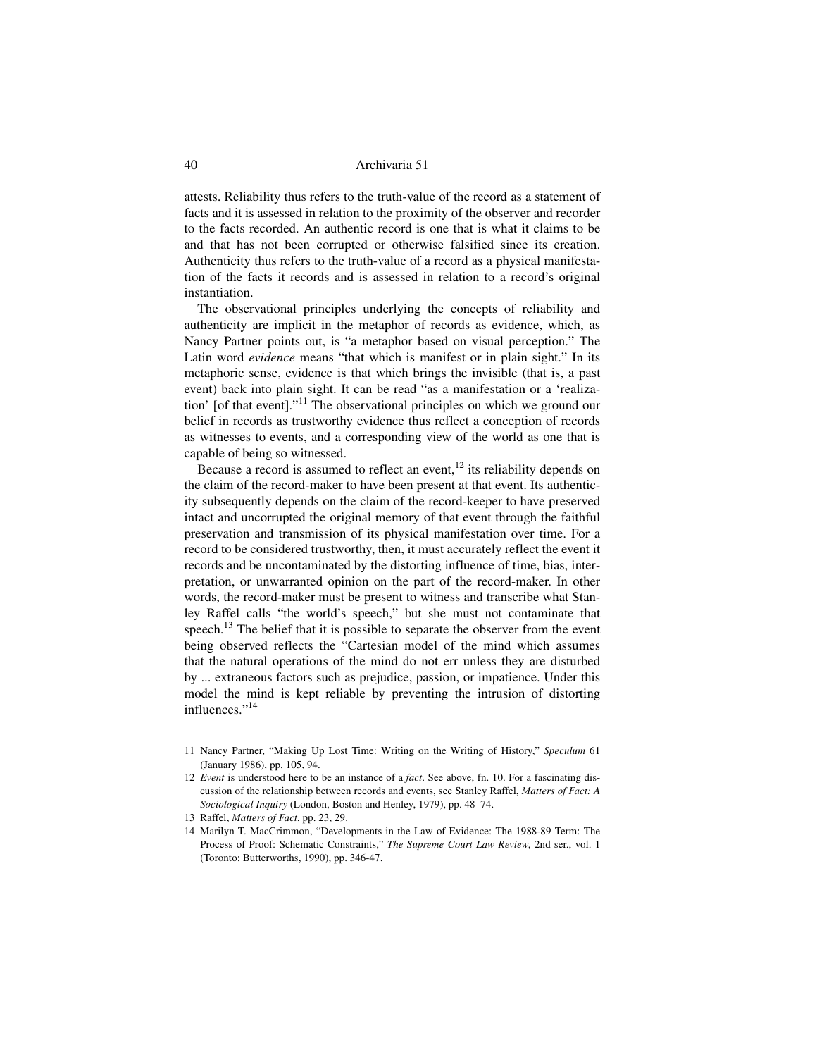attests. Reliability thus refers to the truth-value of the record as a statement of facts and it is assessed in relation to the proximity of the observer and recorder to the facts recorded. An authentic record is one that is what it claims to be and that has not been corrupted or otherwise falsified since its creation. Authenticity thus refers to the truth-value of a record as a physical manifestation of the facts it records and is assessed in relation to a record's original instantiation.

The observational principles underlying the concepts of reliability and authenticity are implicit in the metaphor of records as evidence, which, as Nancy Partner points out, is "a metaphor based on visual perception." The Latin word *evidence* means "that which is manifest or in plain sight." In its metaphoric sense, evidence is that which brings the invisible (that is, a past event) back into plain sight. It can be read "as a manifestation or a 'realization' [of that event]."11 The observational principles on which we ground our belief in records as trustworthy evidence thus reflect a conception of records as witnesses to events, and a corresponding view of the world as one that is capable of being so witnessed.

Because a record is assumed to reflect an event,  $12$  its reliability depends on the claim of the record-maker to have been present at that event. Its authenticity subsequently depends on the claim of the record-keeper to have preserved intact and uncorrupted the original memory of that event through the faithful preservation and transmission of its physical manifestation over time. For a record to be considered trustworthy, then, it must accurately reflect the event it records and be uncontaminated by the distorting influence of time, bias, interpretation, or unwarranted opinion on the part of the record-maker. In other words, the record-maker must be present to witness and transcribe what Stanley Raffel calls "the world's speech," but she must not contaminate that speech.<sup>13</sup> The belief that it is possible to separate the observer from the event being observed reflects the "Cartesian model of the mind which assumes that the natural operations of the mind do not err unless they are disturbed by ... extraneous factors such as prejudice, passion, or impatience. Under this model the mind is kept reliable by preventing the intrusion of distorting influences."<sup>14</sup>

- 11 Nancy Partner, "Making Up Lost Time: Writing on the Writing of History," *Speculum* 61 (January 1986), pp. 105, 94.
- 12 *Event* is understood here to be an instance of a *fact*. See above, fn. 10. For a fascinating discussion of the relationship between records and events, see Stanley Raffel, *Matters of Fact: A Sociological Inquiry* (London, Boston and Henley, 1979), pp. 48–74.

<sup>13</sup> Raffel, *Matters of Fact*, pp. 23, 29.

<sup>14</sup> Marilyn T. MacCrimmon, "Developments in the Law of Evidence: The 1988-89 Term: The Process of Proof: Schematic Constraints," *The Supreme Court Law Review*, 2nd ser., vol. 1 (Toronto: Butterworths, 1990), pp. 346-47.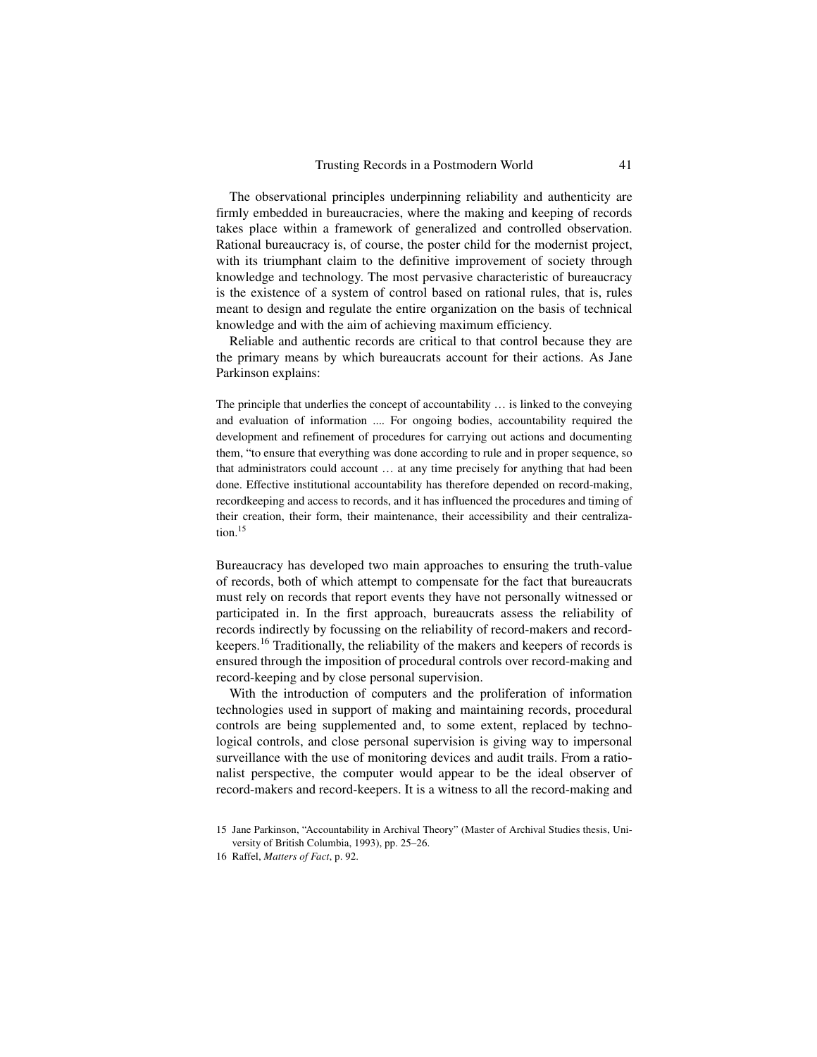The observational principles underpinning reliability and authenticity are firmly embedded in bureaucracies, where the making and keeping of records takes place within a framework of generalized and controlled observation. Rational bureaucracy is, of course, the poster child for the modernist project, with its triumphant claim to the definitive improvement of society through knowledge and technology. The most pervasive characteristic of bureaucracy is the existence of a system of control based on rational rules, that is, rules meant to design and regulate the entire organization on the basis of technical knowledge and with the aim of achieving maximum efficiency.

Reliable and authentic records are critical to that control because they are the primary means by which bureaucrats account for their actions. As Jane Parkinson explains:

The principle that underlies the concept of accountability … is linked to the conveying and evaluation of information .... For ongoing bodies, accountability required the development and refinement of procedures for carrying out actions and documenting them, "to ensure that everything was done according to rule and in proper sequence, so that administrators could account … at any time precisely for anything that had been done. Effective institutional accountability has therefore depended on record-making, recordkeeping and access to records, and it has influenced the procedures and timing of their creation, their form, their maintenance, their accessibility and their centralization.<sup>15</sup>

Bureaucracy has developed two main approaches to ensuring the truth-value of records, both of which attempt to compensate for the fact that bureaucrats must rely on records that report events they have not personally witnessed or participated in. In the first approach, bureaucrats assess the reliability of records indirectly by focussing on the reliability of record-makers and recordkeepers.16 Traditionally, the reliability of the makers and keepers of records is ensured through the imposition of procedural controls over record-making and record-keeping and by close personal supervision.

With the introduction of computers and the proliferation of information technologies used in support of making and maintaining records, procedural controls are being supplemented and, to some extent, replaced by technological controls, and close personal supervision is giving way to impersonal surveillance with the use of monitoring devices and audit trails. From a rationalist perspective, the computer would appear to be the ideal observer of record-makers and record-keepers. It is a witness to all the record-making and

<sup>15</sup> Jane Parkinson, "Accountability in Archival Theory" (Master of Archival Studies thesis, University of British Columbia, 1993), pp. 25–26.

<sup>16</sup> Raffel, *Matters of Fact*, p. 92.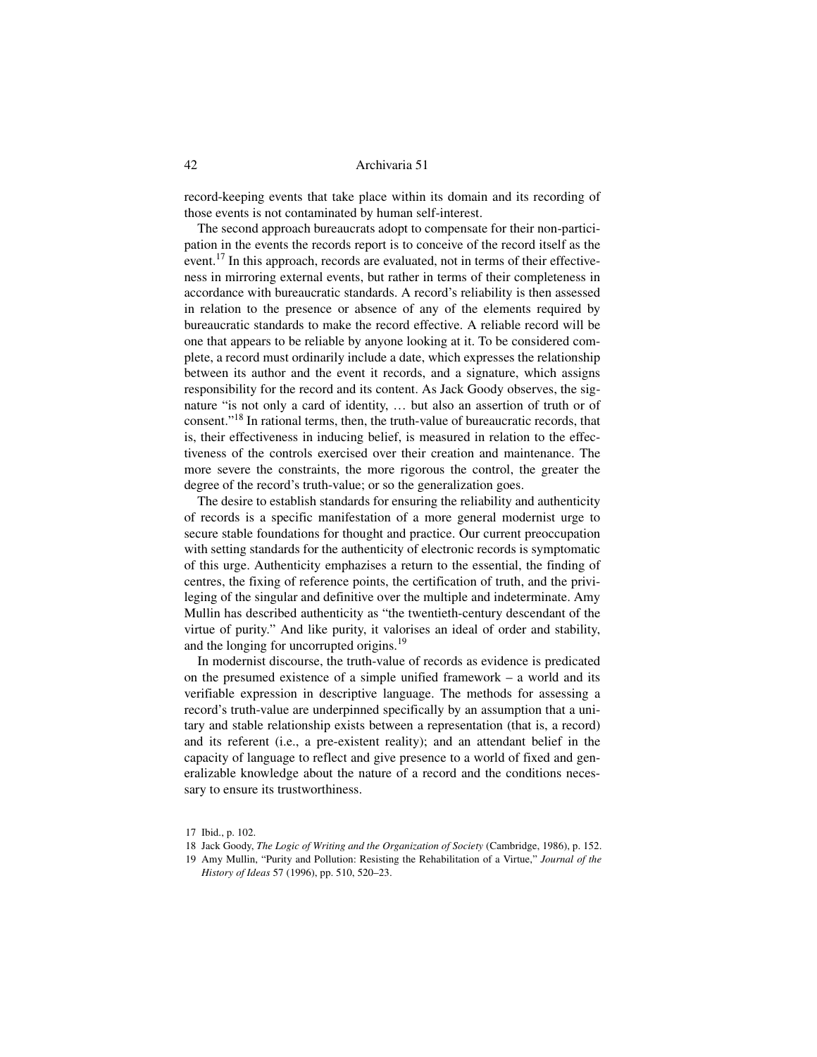record-keeping events that take place within its domain and its recording of those events is not contaminated by human self-interest.

The second approach bureaucrats adopt to compensate for their non-participation in the events the records report is to conceive of the record itself as the event.<sup>17</sup> In this approach, records are evaluated, not in terms of their effectiveness in mirroring external events, but rather in terms of their completeness in accordance with bureaucratic standards. A record's reliability is then assessed in relation to the presence or absence of any of the elements required by bureaucratic standards to make the record effective. A reliable record will be one that appears to be reliable by anyone looking at it. To be considered complete, a record must ordinarily include a date, which expresses the relationship between its author and the event it records, and a signature, which assigns responsibility for the record and its content. As Jack Goody observes, the signature "is not only a card of identity, … but also an assertion of truth or of consent."18 In rational terms, then, the truth-value of bureaucratic records, that is, their effectiveness in inducing belief, is measured in relation to the effectiveness of the controls exercised over their creation and maintenance. The more severe the constraints, the more rigorous the control, the greater the degree of the record's truth-value; or so the generalization goes.

The desire to establish standards for ensuring the reliability and authenticity of records is a specific manifestation of a more general modernist urge to secure stable foundations for thought and practice. Our current preoccupation with setting standards for the authenticity of electronic records is symptomatic of this urge. Authenticity emphazises a return to the essential, the finding of centres, the fixing of reference points, the certification of truth, and the privileging of the singular and definitive over the multiple and indeterminate. Amy Mullin has described authenticity as "the twentieth-century descendant of the virtue of purity." And like purity, it valorises an ideal of order and stability, and the longing for uncorrupted origins.<sup>19</sup>

In modernist discourse, the truth-value of records as evidence is predicated on the presumed existence of a simple unified framework – a world and its verifiable expression in descriptive language. The methods for assessing a record's truth-value are underpinned specifically by an assumption that a unitary and stable relationship exists between a representation (that is, a record) and its referent (i.e., a pre-existent reality); and an attendant belief in the capacity of language to reflect and give presence to a world of fixed and generalizable knowledge about the nature of a record and the conditions necessary to ensure its trustworthiness.

<sup>17</sup> Ibid., p. 102.

<sup>18</sup> Jack Goody, *The Logic of Writing and the Organization of Society* (Cambridge, 1986), p. 152.

<sup>19</sup> Amy Mullin, "Purity and Pollution: Resisting the Rehabilitation of a Virtue," *Journal of the History of Ideas* 57 (1996), pp. 510, 520–23.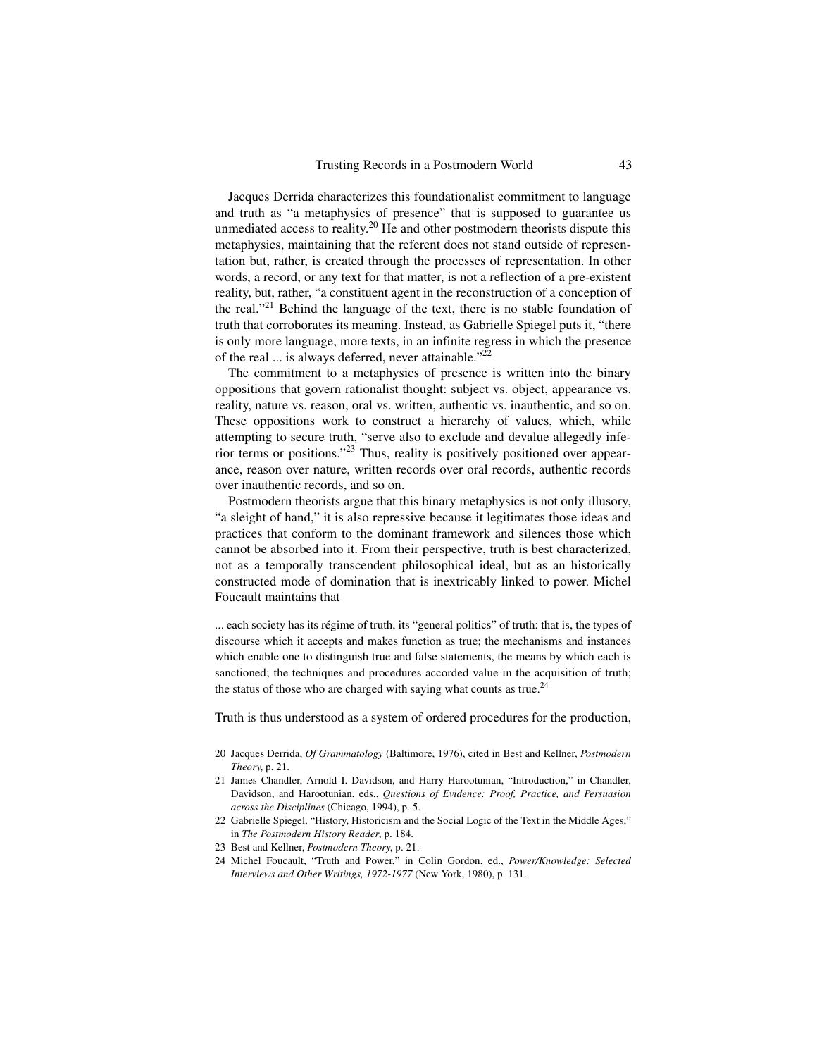Jacques Derrida characterizes this foundationalist commitment to language and truth as "a metaphysics of presence" that is supposed to guarantee us unmediated access to reality.<sup>20</sup> He and other postmodern theorists dispute this metaphysics, maintaining that the referent does not stand outside of representation but, rather, is created through the processes of representation. In other words, a record, or any text for that matter, is not a reflection of a pre-existent reality, but, rather, "a constituent agent in the reconstruction of a conception of the real."<sup>21</sup> Behind the language of the text, there is no stable foundation of truth that corroborates its meaning. Instead, as Gabrielle Spiegel puts it, "there is only more language, more texts, in an infinite regress in which the presence of the real ... is always deferred, never attainable."<sup>22</sup>

The commitment to a metaphysics of presence is written into the binary oppositions that govern rationalist thought: subject vs. object, appearance vs. reality, nature vs. reason, oral vs. written, authentic vs. inauthentic, and so on. These oppositions work to construct a hierarchy of values, which, while attempting to secure truth, "serve also to exclude and devalue allegedly inferior terms or positions."<sup>23</sup> Thus, reality is positively positioned over appearance, reason over nature, written records over oral records, authentic records over inauthentic records, and so on.

Postmodern theorists argue that this binary metaphysics is not only illusory, "a sleight of hand," it is also repressive because it legitimates those ideas and practices that conform to the dominant framework and silences those which cannot be absorbed into it. From their perspective, truth is best characterized, not as a temporally transcendent philosophical ideal, but as an historically constructed mode of domination that is inextricably linked to power. Michel Foucault maintains that

... each society has its régime of truth, its "general politics" of truth: that is, the types of discourse which it accepts and makes function as true; the mechanisms and instances which enable one to distinguish true and false statements, the means by which each is sanctioned; the techniques and procedures accorded value in the acquisition of truth; the status of those who are charged with saying what counts as true.<sup>24</sup>

Truth is thus understood as a system of ordered procedures for the production,

- 20 Jacques Derrida, *Of Grammatology* (Baltimore, 1976), cited in Best and Kellner, *Postmodern Theory*, p. 21.
- 21 James Chandler, Arnold I. Davidson, and Harry Harootunian, "Introduction," in Chandler, Davidson, and Harootunian, eds., *Questions of Evidence: Proof, Practice, and Persuasion across the Disciplines* (Chicago, 1994), p. 5.
- 22 Gabrielle Spiegel, "History, Historicism and the Social Logic of the Text in the Middle Ages," in *The Postmodern History Reader*, p. 184.
- 23 Best and Kellner, *Postmodern Theory*, p. 21.
- 24 Michel Foucault, "Truth and Power," in Colin Gordon, ed., *Power/Knowledge: Selected Interviews and Other Writings, 1972-1977* (New York, 1980), p. 131.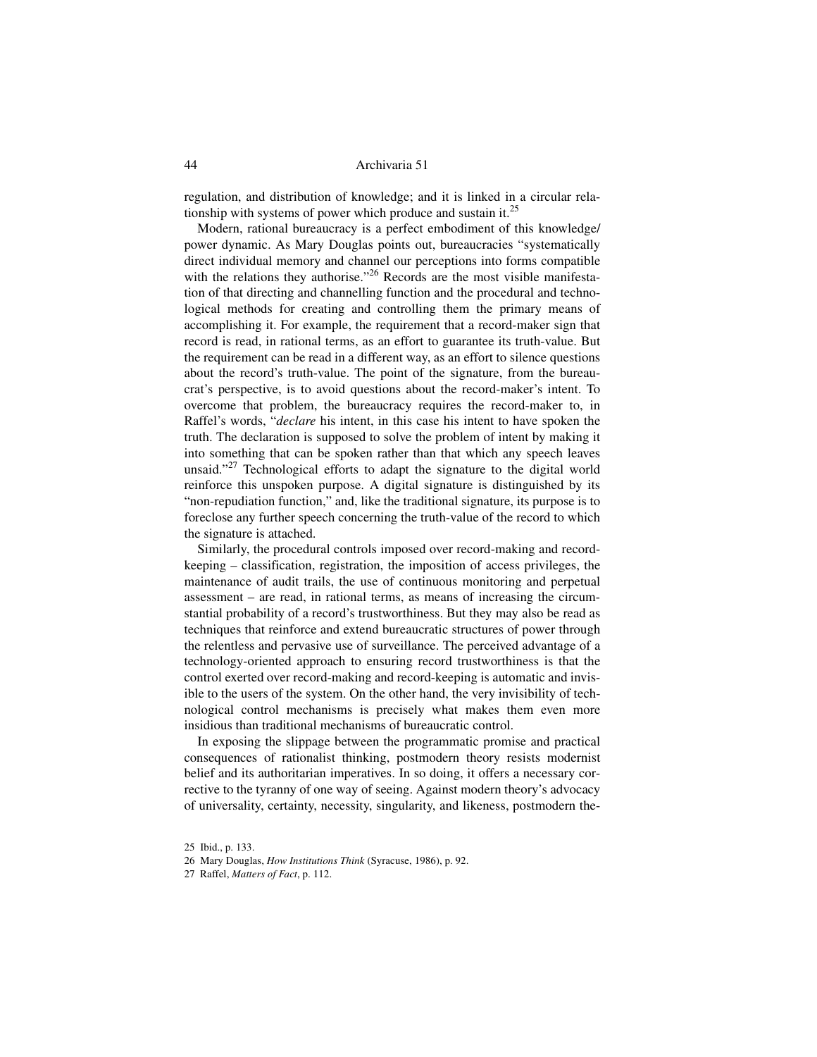regulation, and distribution of knowledge; and it is linked in a circular relationship with systems of power which produce and sustain it. $^{25}$ 

Modern, rational bureaucracy is a perfect embodiment of this knowledge/ power dynamic. As Mary Douglas points out, bureaucracies "systematically direct individual memory and channel our perceptions into forms compatible with the relations they authorise."<sup>26</sup> Records are the most visible manifestation of that directing and channelling function and the procedural and technological methods for creating and controlling them the primary means of accomplishing it. For example, the requirement that a record-maker sign that record is read, in rational terms, as an effort to guarantee its truth-value. But the requirement can be read in a different way, as an effort to silence questions about the record's truth-value. The point of the signature, from the bureaucrat's perspective, is to avoid questions about the record-maker's intent. To overcome that problem, the bureaucracy requires the record-maker to, in Raffel's words, "*declare* his intent, in this case his intent to have spoken the truth. The declaration is supposed to solve the problem of intent by making it into something that can be spoken rather than that which any speech leaves unsaid."<sup>27</sup> Technological efforts to adapt the signature to the digital world reinforce this unspoken purpose. A digital signature is distinguished by its "non-repudiation function," and, like the traditional signature, its purpose is to foreclose any further speech concerning the truth-value of the record to which the signature is attached.

Similarly, the procedural controls imposed over record-making and recordkeeping – classification, registration, the imposition of access privileges, the maintenance of audit trails, the use of continuous monitoring and perpetual assessment – are read, in rational terms, as means of increasing the circumstantial probability of a record's trustworthiness. But they may also be read as techniques that reinforce and extend bureaucratic structures of power through the relentless and pervasive use of surveillance. The perceived advantage of a technology-oriented approach to ensuring record trustworthiness is that the control exerted over record-making and record-keeping is automatic and invisible to the users of the system. On the other hand, the very invisibility of technological control mechanisms is precisely what makes them even more insidious than traditional mechanisms of bureaucratic control.

In exposing the slippage between the programmatic promise and practical consequences of rationalist thinking, postmodern theory resists modernist belief and its authoritarian imperatives. In so doing, it offers a necessary corrective to the tyranny of one way of seeing. Against modern theory's advocacy of universality, certainty, necessity, singularity, and likeness, postmodern the-

<sup>25</sup> Ibid., p. 133.

<sup>26</sup> Mary Douglas, *How Institutions Think* (Syracuse, 1986), p. 92.

<sup>27</sup> Raffel, *Matters of Fact*, p. 112.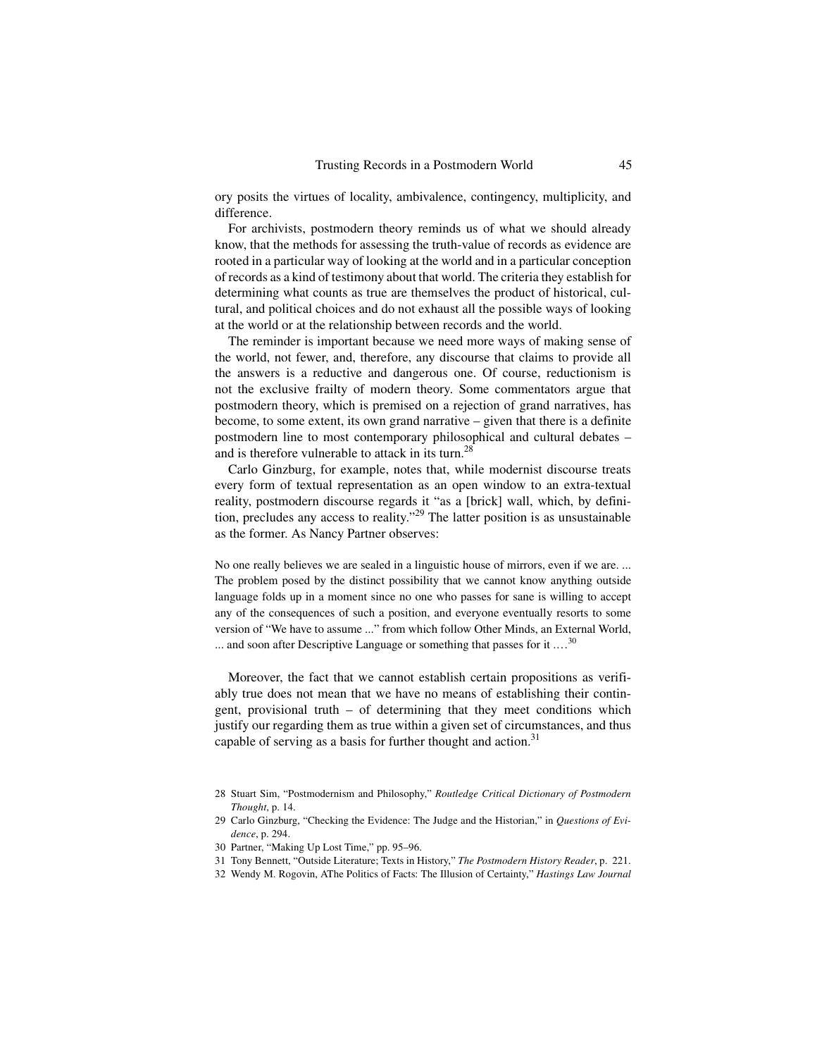ory posits the virtues of locality, ambivalence, contingency, multiplicity, and difference.

For archivists, postmodern theory reminds us of what we should already know, that the methods for assessing the truth-value of records as evidence are rooted in a particular way of looking at the world and in a particular conception of records as a kind of testimony about that world. The criteria they establish for determining what counts as true are themselves the product of historical, cultural, and political choices and do not exhaust all the possible ways of looking at the world or at the relationship between records and the world.

The reminder is important because we need more ways of making sense of the world, not fewer, and, therefore, any discourse that claims to provide all the answers is a reductive and dangerous one. Of course, reductionism is not the exclusive frailty of modern theory. Some commentators argue that postmodern theory, which is premised on a rejection of grand narratives, has become, to some extent, its own grand narrative – given that there is a definite postmodern line to most contemporary philosophical and cultural debates – and is therefore vulnerable to attack in its turn.<sup>28</sup>

Carlo Ginzburg, for example, notes that, while modernist discourse treats every form of textual representation as an open window to an extra-textual reality, postmodern discourse regards it "as a [brick] wall, which, by definition, precludes any access to reality.<sup> $29$ </sup> The latter position is as unsustainable as the former. As Nancy Partner observes:

No one really believes we are sealed in a linguistic house of mirrors, even if we are. ... The problem posed by the distinct possibility that we cannot know anything outside language folds up in a moment since no one who passes for sane is willing to accept any of the consequences of such a position, and everyone eventually resorts to some version of "We have to assume ..." from which follow Other Minds, an External World, ... and soon after Descriptive Language or something that passes for it  $\dots$ <sup>30</sup>

Moreover, the fact that we cannot establish certain propositions as verifiably true does not mean that we have no means of establishing their contingent, provisional truth – of determining that they meet conditions which justify our regarding them as true within a given set of circumstances, and thus capable of serving as a basis for further thought and action. $31$ 

<sup>28</sup> Stuart Sim, "Postmodernism and Philosophy," *Routledge Critical Dictionary of Postmodern Thought*, p. 14.

<sup>29</sup> Carlo Ginzburg, "Checking the Evidence: The Judge and the Historian," in *Questions of Evidence*, p. 294.

<sup>30</sup> Partner, "Making Up Lost Time," pp. 95–96.

<sup>31</sup> Tony Bennett, "Outside Literature; Texts in History," *The Postmodern History Reader*, p. 221.

<sup>32</sup> Wendy M. Rogovin, AThe Politics of Facts: The Illusion of Certainty," *Hastings Law Journal*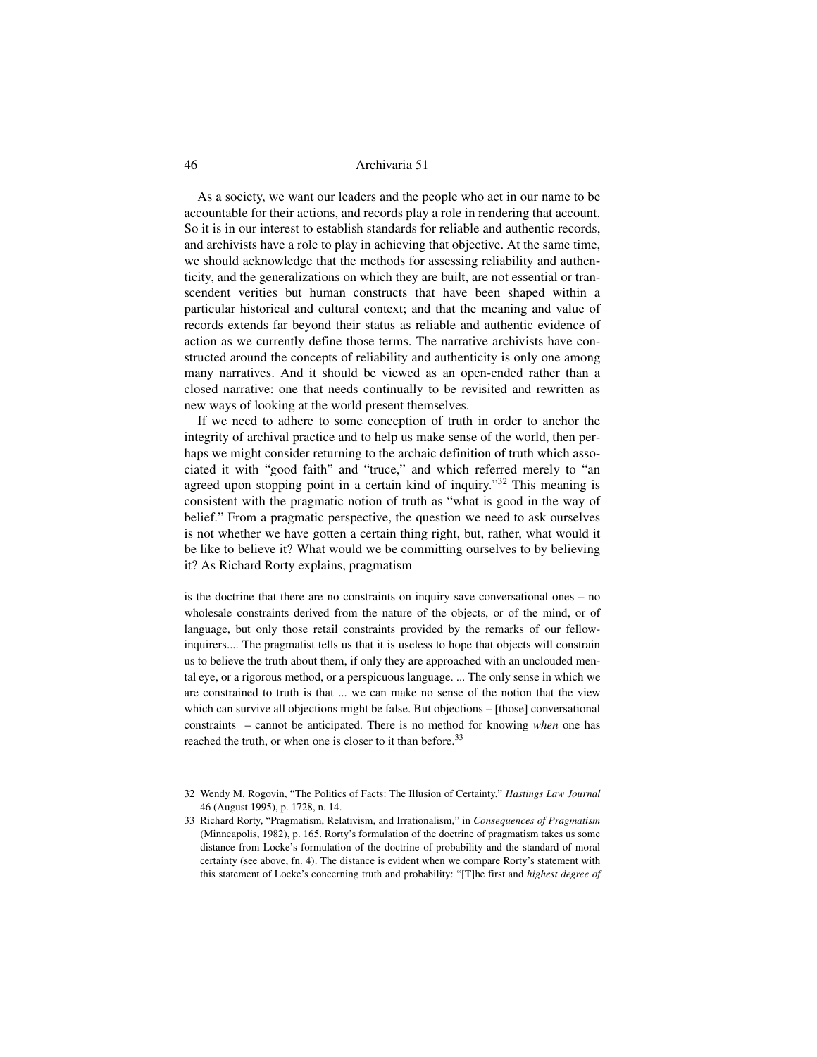As a society, we want our leaders and the people who act in our name to be accountable for their actions, and records play a role in rendering that account. So it is in our interest to establish standards for reliable and authentic records, and archivists have a role to play in achieving that objective. At the same time, we should acknowledge that the methods for assessing reliability and authenticity, and the generalizations on which they are built, are not essential or transcendent verities but human constructs that have been shaped within a particular historical and cultural context; and that the meaning and value of records extends far beyond their status as reliable and authentic evidence of action as we currently define those terms. The narrative archivists have constructed around the concepts of reliability and authenticity is only one among many narratives. And it should be viewed as an open-ended rather than a closed narrative: one that needs continually to be revisited and rewritten as new ways of looking at the world present themselves.

If we need to adhere to some conception of truth in order to anchor the integrity of archival practice and to help us make sense of the world, then perhaps we might consider returning to the archaic definition of truth which associated it with "good faith" and "truce," and which referred merely to "an agreed upon stopping point in a certain kind of inquiry."<sup>32</sup> This meaning is consistent with the pragmatic notion of truth as "what is good in the way of belief." From a pragmatic perspective, the question we need to ask ourselves is not whether we have gotten a certain thing right, but, rather, what would it be like to believe it? What would we be committing ourselves to by believing it? As Richard Rorty explains, pragmatism

is the doctrine that there are no constraints on inquiry save conversational ones – no wholesale constraints derived from the nature of the objects, or of the mind, or of language, but only those retail constraints provided by the remarks of our fellowinquirers.... The pragmatist tells us that it is useless to hope that objects will constrain us to believe the truth about them, if only they are approached with an unclouded mental eye, or a rigorous method, or a perspicuous language. ... The only sense in which we are constrained to truth is that ... we can make no sense of the notion that the view which can survive all objections might be false. But objections – [those] conversational constraints – cannot be anticipated. There is no method for knowing *when* one has reached the truth, or when one is closer to it than before.<sup>33</sup>

- 32 Wendy M. Rogovin, "The Politics of Facts: The Illusion of Certainty," *Hastings Law Journal* 46 (August 1995), p. 1728, n. 14.
- 33 Richard Rorty, "Pragmatism, Relativism, and Irrationalism," in *Consequences of Pragmatism* (Minneapolis, 1982), p. 165. Rorty's formulation of the doctrine of pragmatism takes us some distance from Locke's formulation of the doctrine of probability and the standard of moral certainty (see above, fn. 4). The distance is evident when we compare Rorty's statement with this statement of Locke's concerning truth and probability: "[T]he first and *highest degree of*